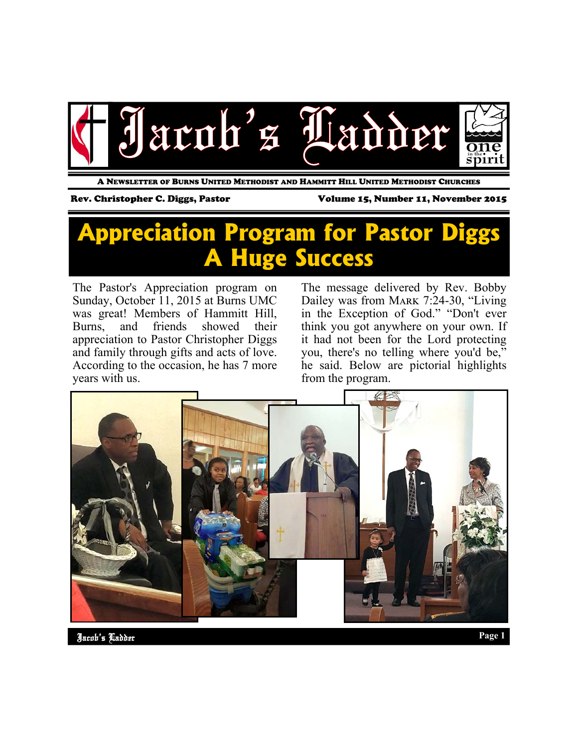

A NEWSLETTER OF BURNS UNITED METHODIST AND HAMMITT HILL UNITED METHODIST CHURCHES

Rev. Christopher C. Diggs, Pastor Volume 15, Number 11, November 2015

## **Appreciation Program for Pastor Diggs A Huge Success**

The Pastor's Appreciation program on Sunday, October 11, 2015 at Burns UMC was great! Members of Hammitt Hill, Burns, and friends showed their appreciation to Pastor Christopher Diggs and family through gifts and acts of love. According to the occasion, he has 7 more years with us.

The message delivered by Rev. Bobby Dailey was from MARK 7:24-30, "Living in the Exception of God." "Don't ever think you got anywhere on your own. If it had not been for the Lord protecting you, there's no telling where you'd be," he said. Below are pictorial highlights from the program.



Jacob's Ladder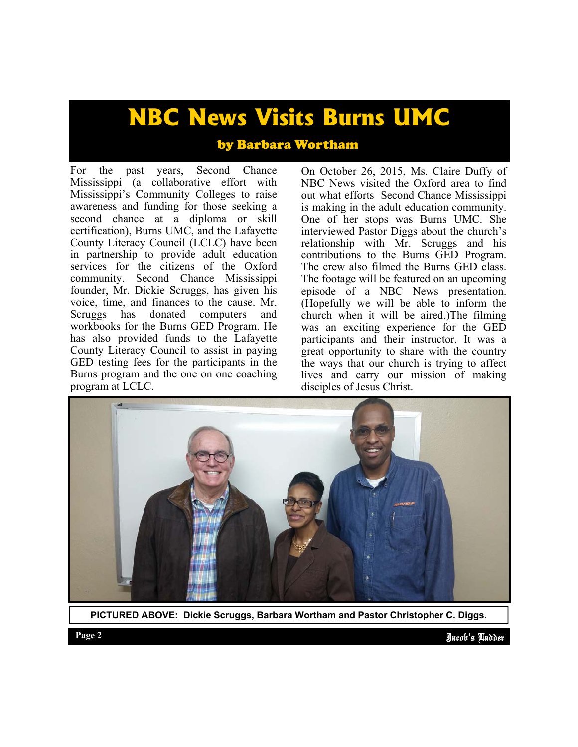# **NBC News Visits Burns UMC**

### by Barbara Wortham

For the past years, Second Chance Mississippi (a collaborative effort with Mississippi's Community Colleges to raise awareness and funding for those seeking a second chance at a diploma or skill certification), Burns UMC, and the Lafayette County Literacy Council (LCLC) have been in partnership to provide adult education services for the citizens of the Oxford community. Second Chance Mississippi founder, Mr. Dickie Scruggs, has given his voice, time, and finances to the cause. Mr.<br>Scruggs has donated computers and donated computers and workbooks for the Burns GED Program. He has also provided funds to the Lafayette County Literacy Council to assist in paying GED testing fees for the participants in the Burns program and the one on one coaching program at LCLC.

On October 26, 2015, Ms. Claire Duffy of NBC News visited the Oxford area to find out what efforts Second Chance Mississippi is making in the adult education community. One of her stops was Burns UMC. She interviewed Pastor Diggs about the church's relationship with Mr. Scruggs and his contributions to the Burns GED Program. The crew also filmed the Burns GED class. The footage will be featured on an upcoming episode of a NBC News presentation. (Hopefully we will be able to inform the church when it will be aired.)The filming was an exciting experience for the GED participants and their instructor. It was a great opportunity to share with the country the ways that our church is trying to affect lives and carry our mission of making disciples of Jesus Christ.



**PICTURED ABOVE: Dickie Scruggs, Barbara Wortham and Pastor Christopher C. Diggs.**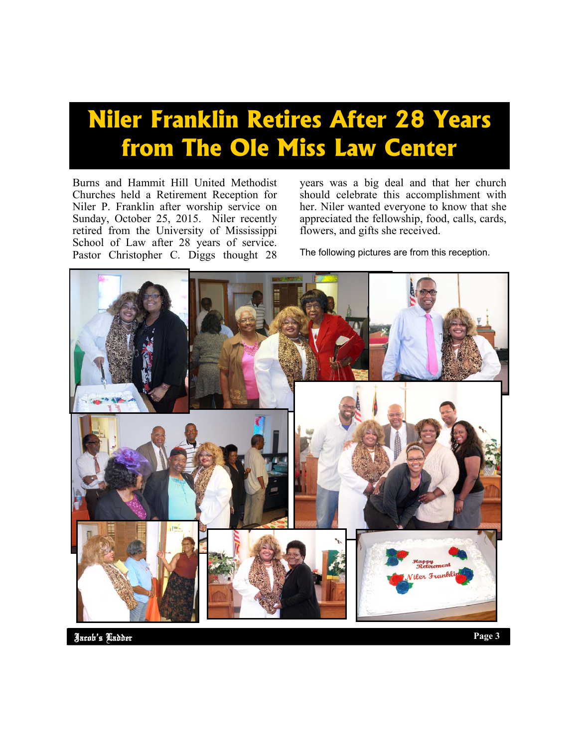# **Niler Franklin Retires After 28 Years from The Ole Miss Law Center**

Burns and Hammit Hill United Methodist Churches held a Retirement Reception for Niler P. Franklin after worship service on Sunday, October 25, 2015. Niler recently retired from the University of Mississippi School of Law after 28 years of service. Pastor Christopher C. Diggs thought 28

years was a big deal and that her church should celebrate this accomplishment with her. Niler wanted everyone to know that she appreciated the fellowship, food, calls, cards, flowers, and gifts she received.

The following pictures are from this reception.